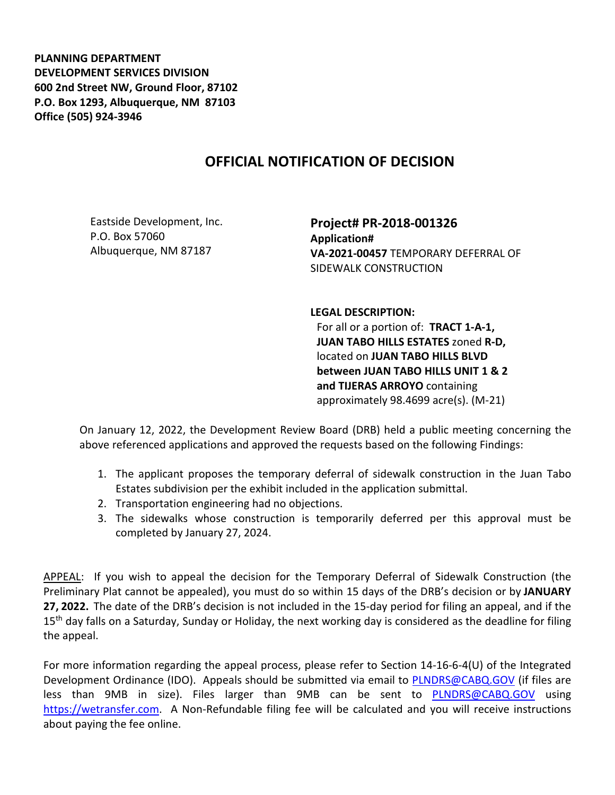**PLANNING DEPARTMENT DEVELOPMENT SERVICES DIVISION 600 2nd Street NW, Ground Floor, 87102 P.O. Box 1293, Albuquerque, NM 87103 Office (505) 924-3946** 

## **OFFICIAL NOTIFICATION OF DECISION**

Eastside Development, Inc. P.O. Box 57060 Albuquerque, NM 87187

**Project# PR-2018-001326 Application# VA-2021-00457** TEMPORARY DEFERRAL OF SIDEWALK CONSTRUCTION

**LEGAL DESCRIPTION:**

For all or a portion of: **TRACT 1-A-1, JUAN TABO HILLS ESTATES** zoned **R-D,**  located on **JUAN TABO HILLS BLVD between JUAN TABO HILLS UNIT 1 & 2 and TIJERAS ARROYO** containing approximately 98.4699 acre(s). (M-21)

On January 12, 2022, the Development Review Board (DRB) held a public meeting concerning the above referenced applications and approved the requests based on the following Findings:

- 1. The applicant proposes the temporary deferral of sidewalk construction in the Juan Tabo Estates subdivision per the exhibit included in the application submittal.
- 2. Transportation engineering had no objections.
- 3. The sidewalks whose construction is temporarily deferred per this approval must be completed by January 27, 2024.

APPEAL: If you wish to appeal the decision for the Temporary Deferral of Sidewalk Construction (the Preliminary Plat cannot be appealed), you must do so within 15 days of the DRB's decision or by **JANUARY 27, 2022.** The date of the DRB's decision is not included in the 15-day period for filing an appeal, and if the 15<sup>th</sup> day falls on a Saturday, Sunday or Holiday, the next working day is considered as the deadline for filing the appeal.

For more information regarding the appeal process, please refer to Section 14-16-6-4(U) of the Integrated Development Ordinance (IDO). Appeals should be submitted via email to [PLNDRS@CABQ.GOV](mailto:PLNDRS@CABQ.GOV) (if files are less than 9MB in size). Files larger than 9MB can be sent to [PLNDRS@CABQ.GOV](mailto:PLNDRS@CABQ.GOV) using [https://wetransfer.com.](https://wetransfer.com/) A Non-Refundable filing fee will be calculated and you will receive instructions about paying the fee online.